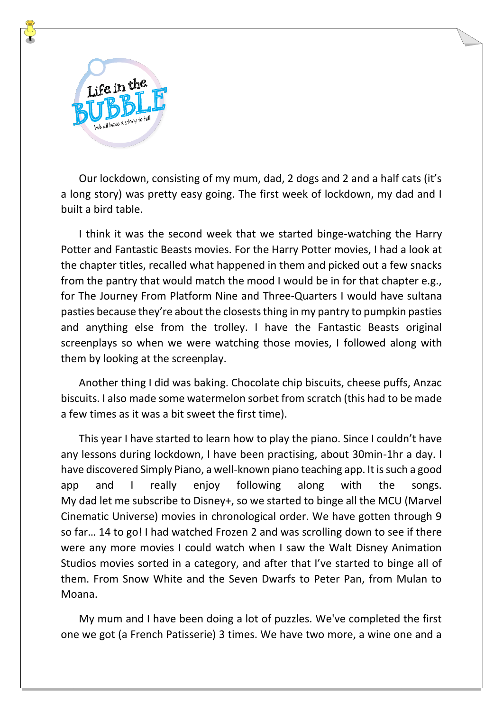

Our lockdown, consisting of my mum, dad, 2 dogs and 2 and a half cats (it's a long story) was pretty easy going. The first week of lockdown, my dad and I built a bird table.

I think it was the second week that we started binge-watching the Harry Potter and Fantastic Beasts movies. For the Harry Potter movies, I had a look at the chapter titles, recalled what happened in them and picked out a few snacks from the pantry that would match the mood I would be in for that chapter e.g., for The Journey From Platform Nine and Three-Quarters I would have sultana pasties because they're about the closests thing in my pantry to pumpkin pasties and anything else from the trolley. I have the Fantastic Beasts original screenplays so when we were watching those movies, I followed along with them by looking at the screenplay.

Another thing I did was baking. Chocolate chip biscuits, cheese puffs, Anzac biscuits. I also made some watermelon sorbet from scratch (this had to be made a few times as it was a bit sweet the first time).

This year I have started to learn how to play the piano. Since I couldn't have any lessons during lockdown, I have been practising, about 30min-1hr a day. I have discovered Simply Piano, a well-known piano teaching app. It is such a good app and I really enjoy following along with the songs. My dad let me subscribe to Disney+, so we started to binge all the MCU (Marvel Cinematic Universe) movies in chronological order. We have gotten through 9 so far… 14 to go! I had watched Frozen 2 and was scrolling down to see if there were any more movies I could watch when I saw the Walt Disney Animation Studios movies sorted in a category, and after that I've started to binge all of them. From Snow White and the Seven Dwarfs to Peter Pan, from Mulan to Moana.

My mum and I have been doing a lot of puzzles. We've completed the first one we got (a French Patisserie) 3 times. We have two more, a wine one and a